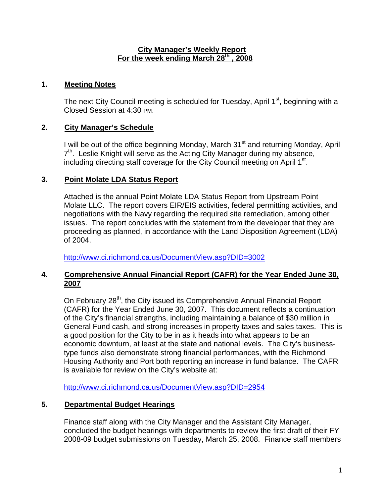### **City Manager's Weekly Report For the week ending March 28th , 2008**

## **1. Meeting Notes**

The next City Council meeting is scheduled for Tuesday, April 1<sup>st</sup>, beginning with a Closed Session at 4:30 PM.

# **2. City Manager's Schedule**

I will be out of the office beginning Monday, March 31<sup>st</sup> and returning Monday, April  $7<sup>th</sup>$ . Leslie Knight will serve as the Acting City Manager during my absence, including directing staff coverage for the City Council meeting on April  $1<sup>st</sup>$ .

### **3. Point Molate LDA Status Report**

Attached is the annual Point Molate LDA Status Report from Upstream Point Molate LLC. The report covers EIR/EIS activities, federal permitting activities, and negotiations with the Navy regarding the required site remediation, among other issues. The report concludes with the statement from the developer that they are proceeding as planned, in accordance with the Land Disposition Agreement (LDA) of 2004.

[http://www.ci.richmond.ca.us/DocumentView.asp?DID=3002](#page-2-0)

### **4. Comprehensive Annual Financial Report (CAFR) for the Year Ended June 30, 2007**

On February 28<sup>th</sup>, the City issued its Comprehensive Annual Financial Report (CAFR) for the Year Ended June 30, 2007. This document reflects a continuation of the City's financial strengths, including maintaining a balance of \$30 million in General Fund cash, and strong increases in property taxes and sales taxes. This is a good position for the City to be in as it heads into what appears to be an economic downturn, at least at the state and national levels. The City's businesstype funds also demonstrate strong financial performances, with the Richmond Housing Authority and Port both reporting an increase in fund balance. The CAFR is available for review on the City's website at:

<http://www.ci.richmond.ca.us/DocumentView.asp?DID=2954>

### **5. Departmental Budget Hearings**

Finance staff along with the City Manager and the Assistant City Manager, concluded the budget hearings with departments to review the first draft of their FY 2008-09 budget submissions on Tuesday, March 25, 2008. Finance staff members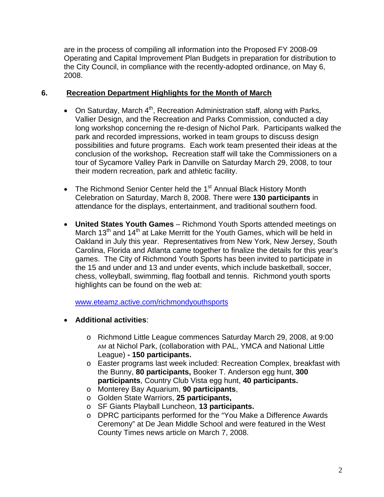are in the process of compiling all information into the Proposed FY 2008-09 Operating and Capital Improvement Plan Budgets in preparation for distribution to the City Council, in compliance with the recently-adopted ordinance, on May 6, 2008.

### **6. Recreation Department Highlights for the Month of March**

- On Saturday, March  $4<sup>th</sup>$ , Recreation Administration staff, along with Parks, Vallier Design, and the Recreation and Parks Commission, conducted a day long workshop concerning the re-design of Nichol Park. Participants walked the park and recorded impressions, worked in team groups to discuss design possibilities and future programs. Each work team presented their ideas at the conclusion of the workshop**.** Recreation staff will take the Commissioners on a tour of Sycamore Valley Park in Danville on Saturday March 29, 2008, to tour their modern recreation, park and athletic facility.
- The Richmond Senior Center held the  $1<sup>st</sup>$  Annual Black History Month Celebration on Saturday, March 8, 2008. There were **130 participants** in attendance for the displays, entertainment, and traditional southern food.
- **United States Youth Games** Richmond Youth Sports attended meetings on March 13<sup>th</sup> and 14<sup>th</sup> at Lake Merritt for the Youth Games, which will be held in Oakland in July this year. Representatives from New York, New Jersey, South Carolina, Florida and Atlanta came together to finalize the details for this year's games. The City of Richmond Youth Sports has been invited to participate in the 15 and under and 13 and under events, which include basketball, soccer, chess, volleyball, swimming, flag football and tennis. Richmond youth sports highlights can be found on the web at:

[www.eteamz.active.com/richmondyouthsports](http://www.eteamz.active.com/richmondyouthsports)

- **Additional activities**:
	- o Richmond Little League commences Saturday March 29, 2008, at 9:00 AM at Nichol Park, (collaboration with PAL, YMCA and National Little League) **- 150 participants.**
	- o Easter programs last week included: Recreation Complex, breakfast with the Bunny, **80 participants,** Booker T. Anderson egg hunt, **300 participants**, Country Club Vista egg hunt, **40 participants.**
	- o Monterey Bay Aquarium, **90 participants**,
	- o Golden State Warriors, **25 participants,**
	- o SF Giants Playball Luncheon, **13 participants.**
	- o DPRC participants performed for the "You Make a Difference Awards Ceremony" at De Jean Middle School and were featured in the West County Times news article on March 7, 2008.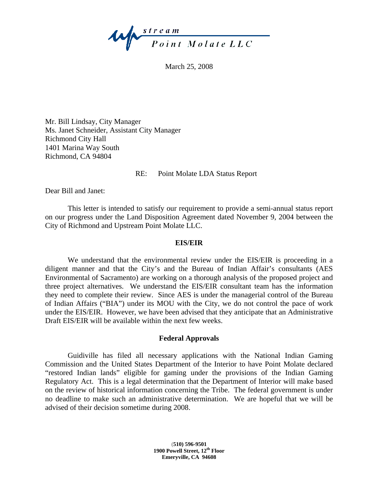<span id="page-2-0"></span>

March 25, 2008

Mr. Bill Lindsay, City Manager Ms. Janet Schneider, Assistant City Manager Richmond City Hall 1401 Marina Way South Richmond, CA 94804

#### RE: Point Molate LDA Status Report

Dear Bill and Janet:

 This letter is intended to satisfy our requirement to provide a semi-annual status report on our progress under the Land Disposition Agreement dated November 9, 2004 between the City of Richmond and Upstream Point Molate LLC.

#### **EIS/EIR**

We understand that the environmental review under the EIS/EIR is proceeding in a diligent manner and that the City's and the Bureau of Indian Affair's consultants (AES Environmental of Sacramento) are working on a thorough analysis of the proposed project and three project alternatives. We understand the EIS/EIR consultant team has the information they need to complete their review. Since AES is under the managerial control of the Bureau of Indian Affairs ("BIA") under its MOU with the City, we do not control the pace of work under the EIS/EIR. However, we have been advised that they anticipate that an Administrative Draft EIS/EIR will be available within the next few weeks.

### **Federal Approvals**

 Guidiville has filed all necessary applications with the National Indian Gaming Commission and the United States Department of the Interior to have Point Molate declared "restored Indian lands" eligible for gaming under the provisions of the Indian Gaming Regulatory Act. This is a legal determination that the Department of Interior will make based on the review of historical information concerning the Tribe. The federal government is under no deadline to make such an administrative determination. We are hopeful that we will be advised of their decision sometime during 2008.

> **(510) 596-9501 1900 Powell Street, 12th Floor Emeryville, CA 94608**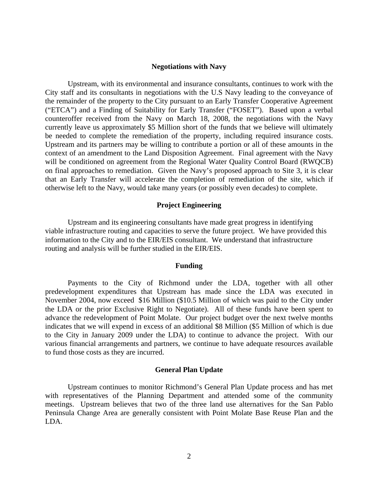#### **Negotiations with Navy**

 Upstream, with its environmental and insurance consultants, continues to work with the City staff and its consultants in negotiations with the U.S Navy leading to the conveyance of the remainder of the property to the City pursuant to an Early Transfer Cooperative Agreement ("ETCA") and a Finding of Suitability for Early Transfer ("FOSET"). Based upon a verbal counteroffer received from the Navy on March 18, 2008, the negotiations with the Navy currently leave us approximately \$5 Million short of the funds that we believe will ultimately be needed to complete the remediation of the property, including required insurance costs. Upstream and its partners may be willing to contribute a portion or all of these amounts in the context of an amendment to the Land Disposition Agreement. Final agreement with the Navy will be conditioned on agreement from the Regional Water Quality Control Board (RWQCB) on final approaches to remediation. Given the Navy's proposed approach to Site 3, it is clear that an Early Transfer will accelerate the completion of remediation of the site, which if otherwise left to the Navy, would take many years (or possibly even decades) to complete.

#### **Project Engineering**

 Upstream and its engineering consultants have made great progress in identifying viable infrastructure routing and capacities to serve the future project. We have provided this information to the City and to the EIR/EIS consultant. We understand that infrastructure routing and analysis will be further studied in the EIR/EIS.

#### **Funding**

 Payments to the City of Richmond under the LDA, together with all other predevelopment expenditures that Upstream has made since the LDA was executed in November 2004, now exceed \$16 Million (\$10.5 Million of which was paid to the City under the LDA or the prior Exclusive Right to Negotiate). All of these funds have been spent to advance the redevelopment of Point Molate. Our project budget over the next twelve months indicates that we will expend in excess of an additional \$8 Million (\$5 Million of which is due to the City in January 2009 under the LDA) to continue to advance the project. With our various financial arrangements and partners, we continue to have adequate resources available to fund those costs as they are incurred.

#### **General Plan Update**

 Upstream continues to monitor Richmond's General Plan Update process and has met with representatives of the Planning Department and attended some of the community meetings. Upstream believes that two of the three land use alternatives for the San Pablo Peninsula Change Area are generally consistent with Point Molate Base Reuse Plan and the LDA.